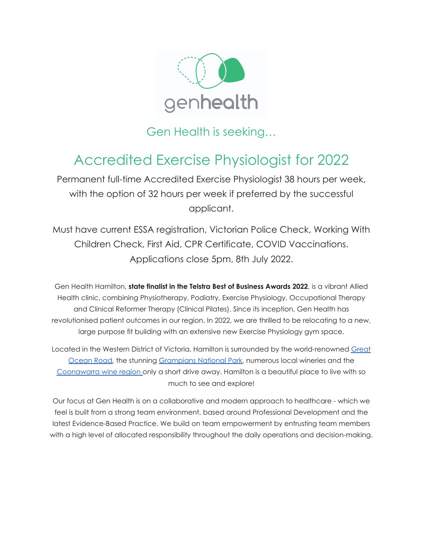

Gen Health is seeking…

# Accredited Exercise Physiologist for 2022

Permanent full-time Accredited Exercise Physiologist 38 hours per week, with the option of 32 hours per week if preferred by the successful applicant.

Must have current ESSA registration, Victorian Police Check, Working With Children Check, First Aid, CPR Certificate, COVID Vaccinations. Applications close 5pm, 8th July 2022.

Gen Health Hamilton, **state finalist in the Telstra Best of Business Awards 2022**, is a vibrant Allied Health clinic, combining Physiotherapy, Podiatry, Exercise Physiology, Occupational Therapy and Clinical Reformer Therapy (Clinical Pilates). Since its inception, Gen Health has revolutionised patient outcomes in our region. In 2022, we are thrilled to be relocating to a new, large purpose fit building with an extensive new Exercise Physiology gym space.

Located in the Western District of Victoria, Hamilton is surrounded by the world-renowned [Great](https://visitgreatoceanroad.org.au/) [Ocean](https://visitgreatoceanroad.org.au/) Road, the stunning [Grampians](https://www.visitgrampians.com.au/) National Park, numerous local wineries and the [Coonawarra](https://coonawarra.org/) wine region only a short drive away. Hamilton is a beautiful place to live with so much to see and explore!

Our focus at Gen Health is on a collaborative and modern approach to healthcare - which we feel is built from a strong team environment, based around Professional Development and the latest Evidence-Based Practice. We build on team empowerment by entrusting team members with a high level of allocated responsibility throughout the daily operations and decision-making.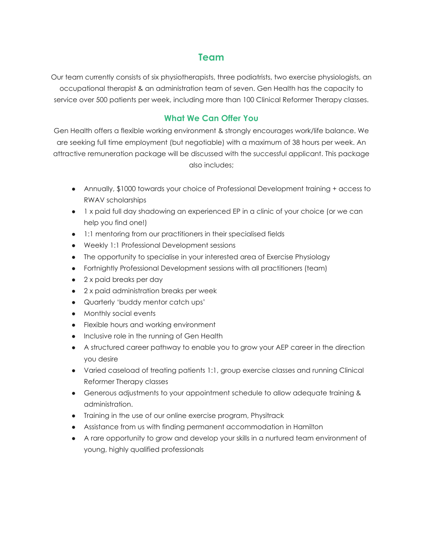## **Team**

Our team currently consists of six physiotherapists, three podiatrists, two exercise physiologists, an occupational therapist & an administration team of seven. Gen Health has the capacity to service over 500 patients per week, including more than 100 Clinical Reformer Therapy classes.

## **What We Can Offer You**

Gen Health offers a flexible working environment & strongly encourages work/life balance. We are seeking full time employment (but negotiable) with a maximum of 38 hours per week. An attractive remuneration package will be discussed with the successful applicant. This package also includes;

- Annually, \$1000 towards your choice of Professional Development training + access to RWAV scholarships
- 1 x paid full day shadowing an experienced EP in a clinic of your choice (or we can help you find one!)
- 1:1 mentoring from our practitioners in their specialised fields
- Weekly 1:1 Professional Development sessions
- The opportunity to specialise in your interested area of Exercise Physiology
- Fortnightly Professional Development sessions with all practitioners (team)
- 2 x paid breaks per day
- 2 x paid administration breaks per week
- Quarterly 'buddy mentor catch ups'
- Monthly social events
- Flexible hours and working environment
- Inclusive role in the running of Gen Health
- A structured career pathway to enable you to grow your AEP career in the direction you desire
- Varied caseload of treating patients 1:1, group exercise classes and running Clinical Reformer Therapy classes
- Generous adjustments to your appointment schedule to allow adequate training & administration.
- Training in the use of our online exercise program, Physitrack
- Assistance from us with finding permanent accommodation in Hamilton
- A rare opportunity to grow and develop your skills in a nurtured team environment of young, highly qualified professionals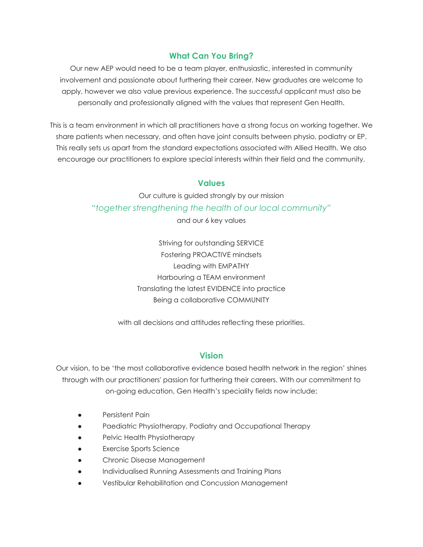## **What Can You Bring?**

Our new AEP would need to be a team player, enthusiastic, interested in community involvement and passionate about furthering their career. New graduates are welcome to apply, however we also value previous experience. The successful applicant must also be personally and professionally aligned with the values that represent Gen Health.

This is a team environment in which all practitioners have a strong focus on working together. We share patients when necessary, and often have joint consults between physio, podiatry or EP. This really sets us apart from the standard expectations associated with Allied Health. We also encourage our practitioners to explore special interests within their field and the community.

### **Values**

Our culture is guided strongly by our mission *"together strengthening the health of our local community"*

and our 6 key values

Striving for outstanding SERVICE Fostering PROACTIVE mindsets Leading with EMPATHY Harbouring a TEAM environment Translating the latest EVIDENCE into practice Being a collaborative COMMUNITY

with all decisions and attitudes reflecting these priorities.

### **Vision**

Our vision, to be 'the most collaborative evidence based health network in the region' shines through with our practitioners' passion for furthering their careers. With our commitment to on-going education, Gen Health's speciality fields now include;

- Persistent Pain
- Paediatric Physiotherapy, Podiatry and Occupational Therapy
- Pelvic Health Physiotherapy
- **Exercise Sports Science**
- Chronic Disease Management
- Individualised Running Assessments and Training Plans
- Vestibular Rehabilitation and Concussion Management